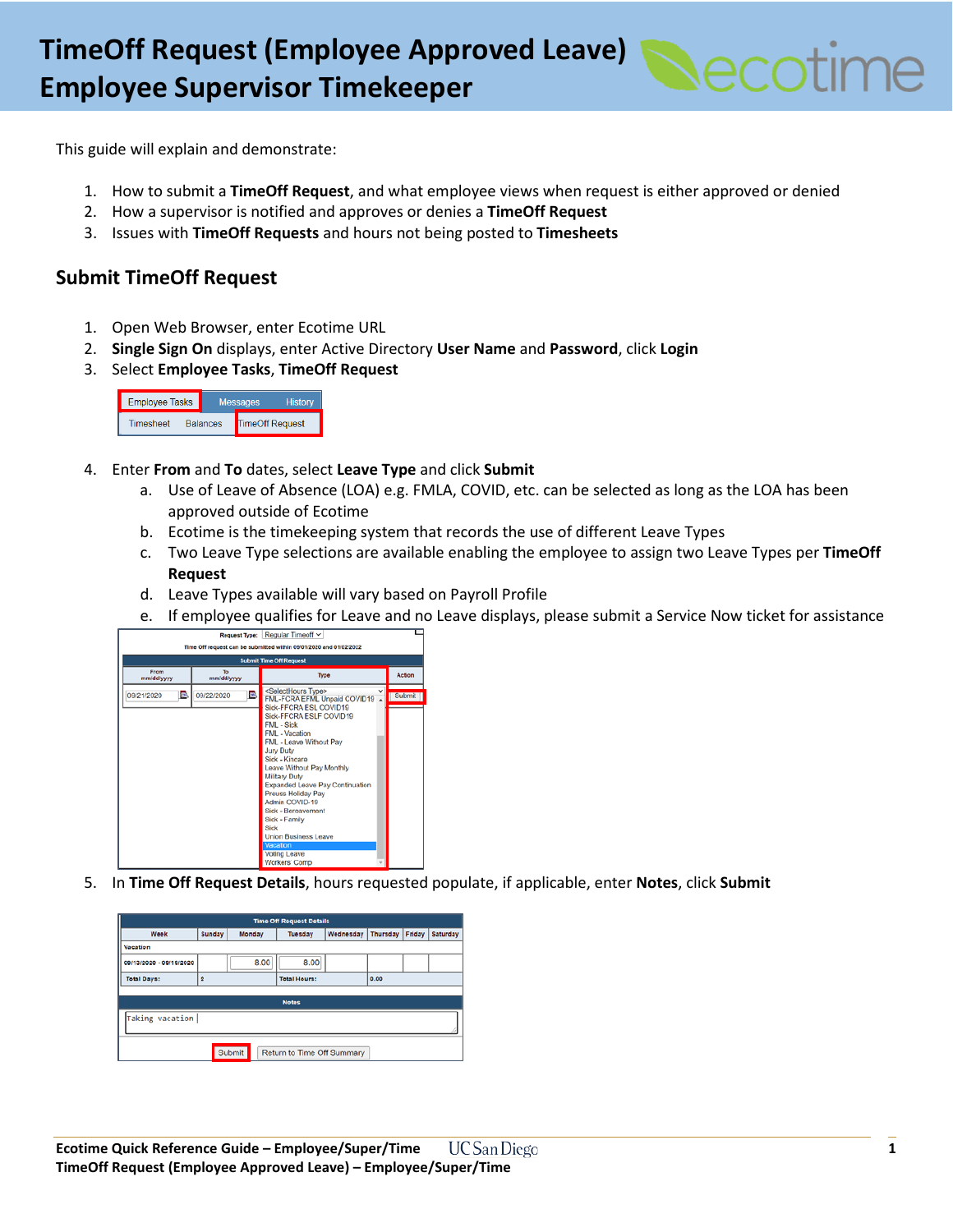

This guide will explain and demonstrate:

- 1. How to submit a **TimeOff Request**, and what employee views when request is either approved or denied
- 2. How a supervisor is notified and approves or denies a **TimeOff Request**
- 3. Issues with **TimeOff Requests** and hours not being posted to **Timesheets**

### **Submit TimeOff Request**

- 1. Open Web Browser, enter Ecotime URL
- 2. **Single Sign On** displays, enter Active Directory **User Name** and **Password**, click **Login**
- 3. Select **Employee Tasks**, **TimeOff Request**



- 4. Enter **From** and **To** dates, select **Leave Type** and click **Submit**
	- a. Use of Leave of Absence (LOA) e.g. FMLA, COVID, etc. can be selected as long as the LOA has been approved outside of Ecotime
	- b. Ecotime is the timekeeping system that records the use of different Leave Types
	- c. Two Leave Type selections are available enabling the employee to assign two Leave Types per **TimeOff Request**
	- d. Leave Types available will vary based on Payroll Profile
	- e. If employee qualifies for Leave and no Leave displays, please submit a Service Now ticket for assistance



5. In **Time Off Request Details**, hours requested populate, if applicable, enter **Notes**, click **Submit**

| <b>Time Off Request Details</b>      |                  |      |                      |      |                           |  |          |  |  |
|--------------------------------------|------------------|------|----------------------|------|---------------------------|--|----------|--|--|
| Week                                 | Sunday<br>Monday |      | Wednesday<br>Tuesday |      | <b>Thursday</b><br>Friday |  | Saturday |  |  |
| Vacation                             |                  |      |                      |      |                           |  |          |  |  |
| 09/13/2020 - 09/19/2020              |                  | 8.00 | 8.00                 |      |                           |  |          |  |  |
| <b>Total Days:</b>                   | $\overline{2}$   |      | <b>Total Hours:</b>  | 0.00 |                           |  |          |  |  |
|                                      |                  |      |                      |      |                           |  |          |  |  |
| <b>Notes</b>                         |                  |      |                      |      |                           |  |          |  |  |
| Taking vacation                      |                  |      |                      |      |                           |  |          |  |  |
| Submit<br>Return to Time Off Summary |                  |      |                      |      |                           |  |          |  |  |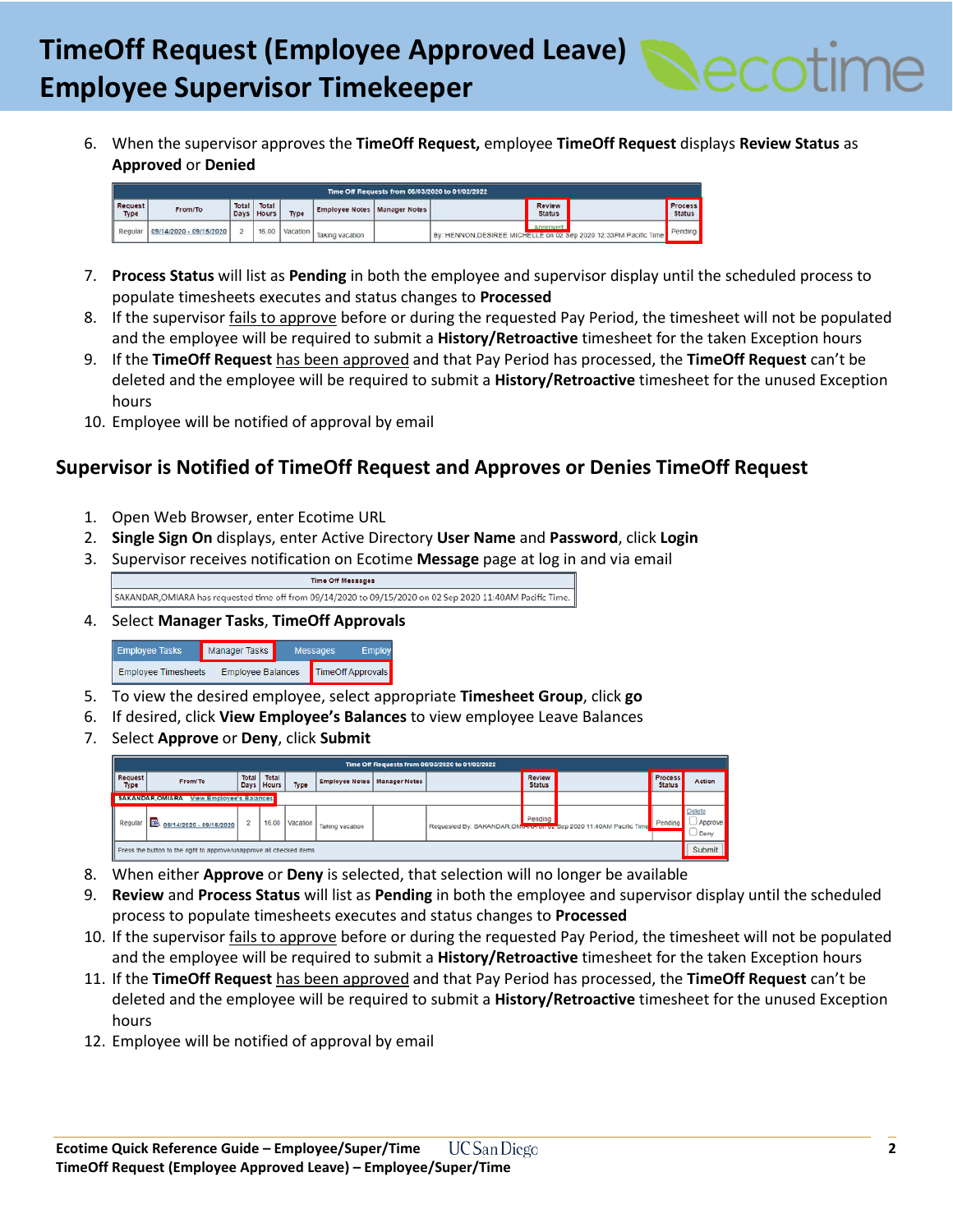

6. When the supervisor approves the **TimeOff Request,** employee **TimeOff Request** displays **Review Status** as **Approved** or **Denied**

| Time Off Requests from 06/03/2020 to 01/02/2022 |                            |               |                       |      |                                       |  |                                                                            |                                 |
|-------------------------------------------------|----------------------------|---------------|-----------------------|------|---------------------------------------|--|----------------------------------------------------------------------------|---------------------------------|
| <b>Request</b><br>Type                          | From/To                    | Total<br>Days | Total<br><b>Hours</b> | Type | <b>Employee Notes   Manager Notes</b> |  | Review<br><b>Status</b>                                                    | <b>Process</b><br><b>Status</b> |
| Regular                                         | $109/14/2020 - 09/15/2020$ |               |                       |      | vol.vul   Vacation   Taking vacation  |  | Annound<br>By: HENNON DESIREE MICHELLE on 02 Sep 2020 12:33PM Pacific Time | Pending                         |

- 7. **Process Status** will list as **Pending** in both the employee and supervisor display until the scheduled process to populate timesheets executes and status changes to **Processed**
- 8. If the supervisor fails to approve before or during the requested Pay Period, the timesheet will not be populated and the employee will be required to submit a **History/Retroactive** timesheet for the taken Exception hours
- 9. If the **TimeOff Request** has been approved and that Pay Period has processed, the **TimeOff Request** can't be deleted and the employee will be required to submit a **History/Retroactive** timesheet for the unused Exception hours
- 10. Employee will be notified of approval by email

# **Supervisor is Notified of TimeOff Request and Approves or Denies TimeOff Request**

- 1. Open Web Browser, enter Ecotime URL
- 2. **Single Sign On** displays, enter Active Directory **User Name** and **Password**, click **Login**
- 3. Supervisor receives notification on Ecotime **Message** page at log in and via email

Time Off Messages SAKANDAR, OMIARA has requested time off from 09/14/2020 to 09/15/2020 on 02 Sep 2020 11:40AM Pacific Time.

4. Select **Manager Tasks**, **TimeOff Approvals**



- 5. To view the desired employee, select appropriate **Timesheet Group**, click **go**
- 6. If desired, click **View Employee's Balances** to view employee Leave Balances
- 7. Select **Approve** or **Deny**, click **Submit**

|                                                                      | Time Off Requests from 06/03/2020 to 01/02/2022            |                |                       |                |                                       |  |                                                                    |                         |                                 |                                    |
|----------------------------------------------------------------------|------------------------------------------------------------|----------------|-----------------------|----------------|---------------------------------------|--|--------------------------------------------------------------------|-------------------------|---------------------------------|------------------------------------|
| <b>Request</b><br>Type                                               | From/To                                                    | <b>Total</b>   | Total<br>Days   Hours | <b>Type</b>    | <b>Employee Notes   Manager Notes</b> |  |                                                                    | Review<br><b>Status</b> | <b>Process</b><br><b>Status</b> | Action                             |
|                                                                      | <b>SAKANDAR, OMIARA</b><br><b>View Employee's Balances</b> |                |                       |                |                                       |  |                                                                    |                         |                                 |                                    |
| Regular                                                              | 09/14/2020 - 09/15/2020                                    | $\overline{2}$ |                       | 16.00 Vacation | <b>Taking vacation</b>                |  | Requested By: SAKANDAR, OMenon on oz 6ep 2020 11:40AM Pacific Time | Pending                 | Pending                         | <b>Delete</b><br>Approve<br>J Deny |
| Press the button to the right to approve/unapprove all checked items |                                                            |                |                       |                |                                       |  |                                                                    | Submit                  |                                 |                                    |

- 8. When either **Approve** or **Deny** is selected, that selection will no longer be available
- 9. **Review** and **Process Status** will list as **Pending** in both the employee and supervisor display until the scheduled process to populate timesheets executes and status changes to **Processed**
- 10. If the supervisor *fails to approve* before or during the requested Pay Period, the timesheet will not be populated and the employee will be required to submit a **History/Retroactive** timesheet for the taken Exception hours
- 11. If the **TimeOff Request** has been approved and that Pay Period has processed, the **TimeOff Request** can't be deleted and the employee will be required to submit a **History/Retroactive** timesheet for the unused Exception hours
- 12. Employee will be notified of approval by email